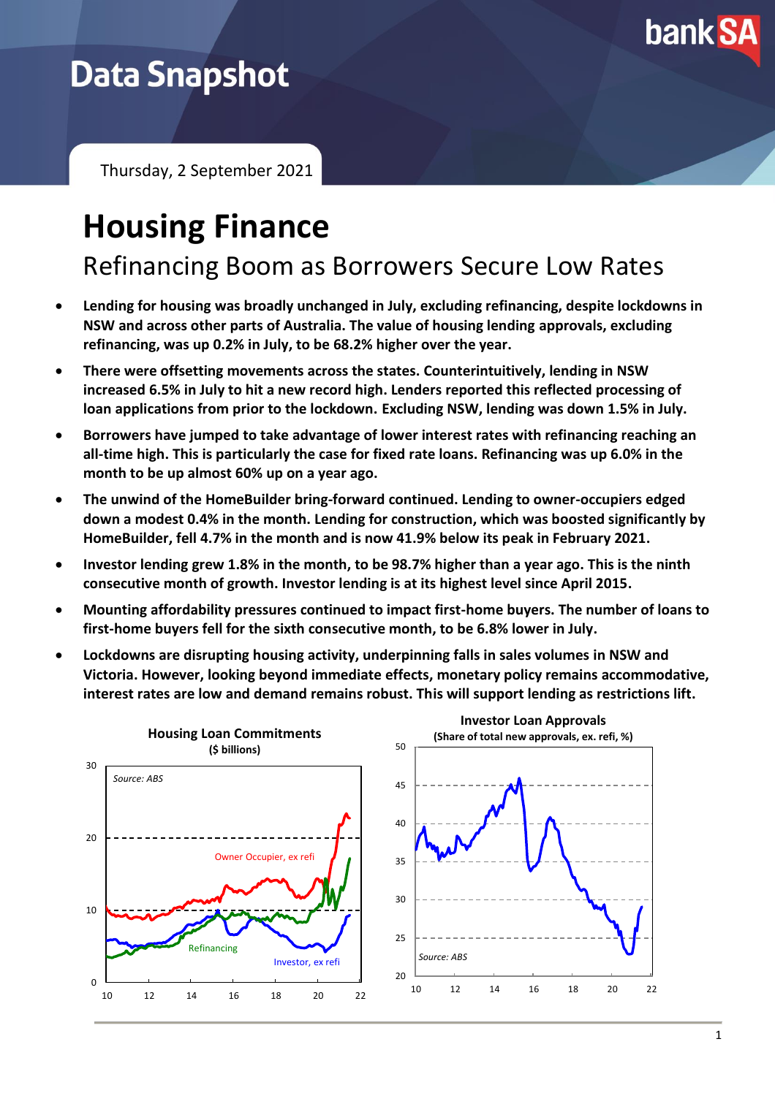

# **Data Snapshot**

Thursday, 2 September 2021

# **Housing Finance**

Refinancing Boom as Borrowers Secure Low Rates

- **Lending for housing was broadly unchanged in July, excluding refinancing, despite lockdowns in NSW and across other parts of Australia. The value of housing lending approvals, excluding refinancing, was up 0.2% in July, to be 68.2% higher over the year.**
- **There were offsetting movements across the states. Counterintuitively, lending in NSW increased 6.5% in July to hit a new record high. Lenders reported this reflected processing of loan applications from prior to the lockdown. Excluding NSW, lending was down 1.5% in July.**
- **Borrowers have jumped to take advantage of lower interest rates with refinancing reaching an all-time high. This is particularly the case for fixed rate loans. Refinancing was up 6.0% in the month to be up almost 60% up on a year ago.**
- **The unwind of the HomeBuilder bring-forward continued. Lending to owner-occupiers edged down a modest 0.4% in the month. Lending for construction, which was boosted significantly by HomeBuilder, fell 4.7% in the month and is now 41.9% below its peak in February 2021.**
- **Investor lending grew 1.8% in the month, to be 98.7% higher than a year ago. This is the ninth consecutive month of growth. Investor lending is at its highest level since April 2015.**
- **Mounting affordability pressures continued to impact first-home buyers. The number of loans to first-home buyers fell for the sixth consecutive month, to be 6.8% lower in July.**
- **Lockdowns are disrupting housing activity, underpinning falls in sales volumes in NSW and Victoria. However, looking beyond immediate effects, monetary policy remains accommodative, interest rates are low and demand remains robust. This will support lending as restrictions lift.**

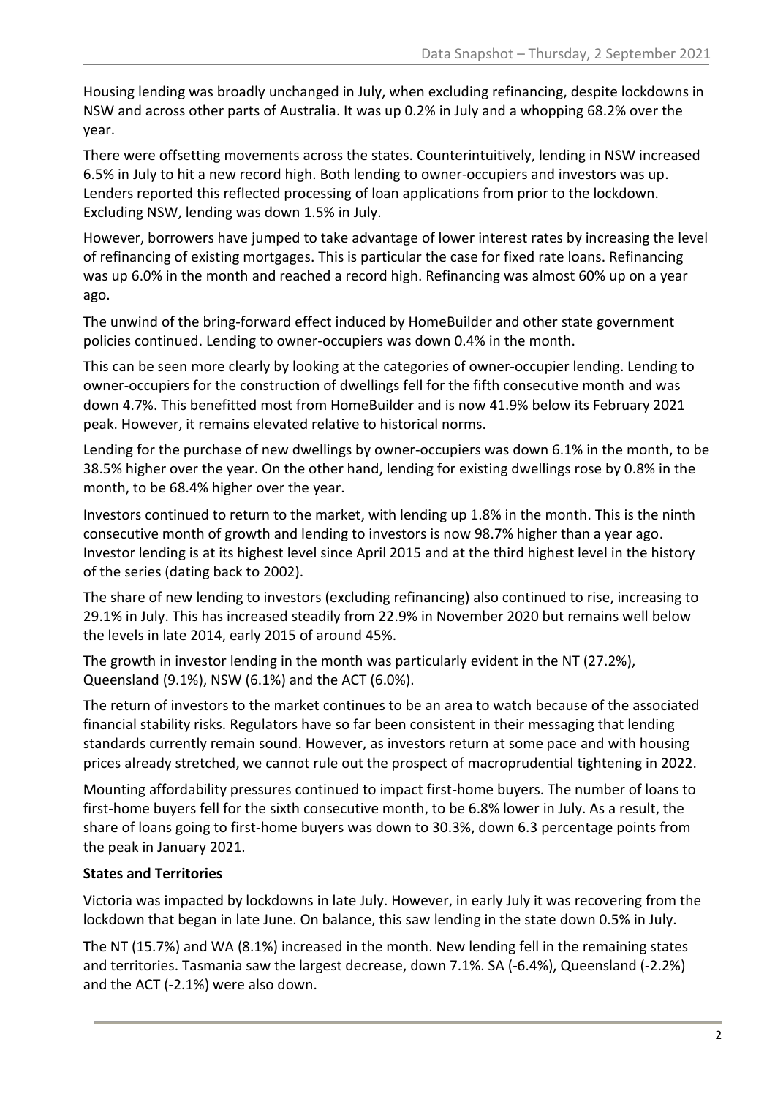Housing lending was broadly unchanged in July, when excluding refinancing, despite lockdowns in NSW and across other parts of Australia. It was up 0.2% in July and a whopping 68.2% over the year.

There were offsetting movements across the states. Counterintuitively, lending in NSW increased 6.5% in July to hit a new record high. Both lending to owner-occupiers and investors was up. Lenders reported this reflected processing of loan applications from prior to the lockdown. Excluding NSW, lending was down 1.5% in July.

However, borrowers have jumped to take advantage of lower interest rates by increasing the level of refinancing of existing mortgages. This is particular the case for fixed rate loans. Refinancing was up 6.0% in the month and reached a record high. Refinancing was almost 60% up on a year ago.

The unwind of the bring-forward effect induced by HomeBuilder and other state government policies continued. Lending to owner-occupiers was down 0.4% in the month.

This can be seen more clearly by looking at the categories of owner-occupier lending. Lending to owner-occupiers for the construction of dwellings fell for the fifth consecutive month and was down 4.7%. This benefitted most from HomeBuilder and is now 41.9% below its February 2021 peak. However, it remains elevated relative to historical norms.

Lending for the purchase of new dwellings by owner-occupiers was down 6.1% in the month, to be 38.5% higher over the year. On the other hand, lending for existing dwellings rose by 0.8% in the month, to be 68.4% higher over the year.

Investors continued to return to the market, with lending up 1.8% in the month. This is the ninth consecutive month of growth and lending to investors is now 98.7% higher than a year ago. Investor lending is at its highest level since April 2015 and at the third highest level in the history of the series (dating back to 2002).

The share of new lending to investors (excluding refinancing) also continued to rise, increasing to 29.1% in July. This has increased steadily from 22.9% in November 2020 but remains well below the levels in late 2014, early 2015 of around 45%.

The growth in investor lending in the month was particularly evident in the NT (27.2%), Queensland (9.1%), NSW (6.1%) and the ACT (6.0%).

The return of investors to the market continues to be an area to watch because of the associated financial stability risks. Regulators have so far been consistent in their messaging that lending standards currently remain sound. However, as investors return at some pace and with housing prices already stretched, we cannot rule out the prospect of macroprudential tightening in 2022.

Mounting affordability pressures continued to impact first-home buyers. The number of loans to first-home buyers fell for the sixth consecutive month, to be 6.8% lower in July. As a result, the share of loans going to first-home buyers was down to 30.3%, down 6.3 percentage points from the peak in January 2021.

## **States and Territories**

Victoria was impacted by lockdowns in late July. However, in early July it was recovering from the lockdown that began in late June. On balance, this saw lending in the state down 0.5% in July.

The NT (15.7%) and WA (8.1%) increased in the month. New lending fell in the remaining states and territories. Tasmania saw the largest decrease, down 7.1%. SA (-6.4%), Queensland (-2.2%) and the ACT (-2.1%) were also down.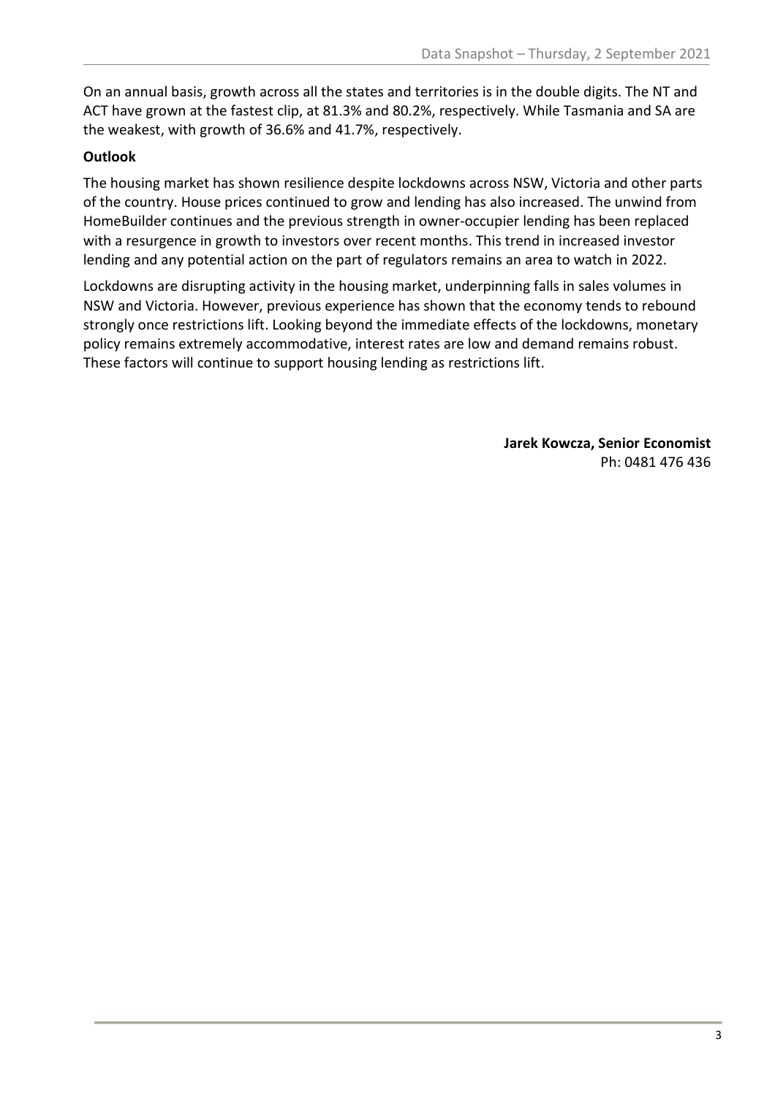On an annual basis, growth across all the states and territories is in the double digits. The NT and ACT have grown at the fastest clip, at 81.3% and 80.2%, respectively. While Tasmania and SA are the weakest, with growth of 36.6% and 41.7%, respectively.

## **Outlook**

The housing market has shown resilience despite lockdowns across NSW, Victoria and other parts of the country. House prices continued to grow and lending has also increased. The unwind from HomeBuilder continues and the previous strength in owner-occupier lending has been replaced with a resurgence in growth to investors over recent months. This trend in increased investor lending and any potential action on the part of regulators remains an area to watch in 2022.

Lockdowns are disrupting activity in the housing market, underpinning falls in sales volumes in NSW and Victoria. However, previous experience has shown that the economy tends to rebound strongly once restrictions lift. Looking beyond the immediate effects of the lockdowns, monetary policy remains extremely accommodative, interest rates are low and demand remains robust. These factors will continue to support housing lending as restrictions lift.

> **Jarek Kowcza, Senior Economist** Ph: 0481 476 436